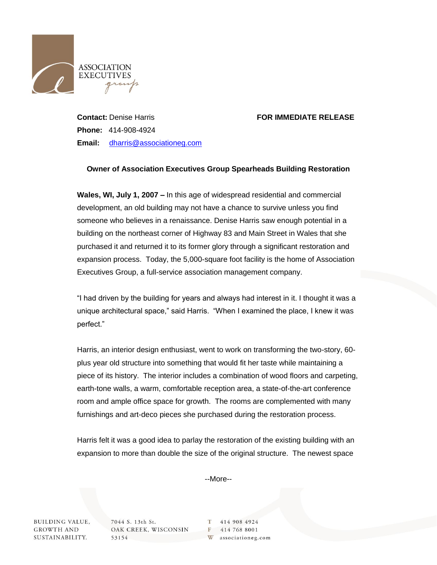

## **Contact:** Denise Harris **FOR IMMEDIATE RELEASE**

**Phone:** 414-908-4924 **Email:** [dharris@associationeg.com](mailto:dharris@associationeg.com)

## **Owner of Association Executives Group Spearheads Building Restoration**

**Wales, WI, July 1, 2007 –** In this age of widespread residential and commercial development, an old building may not have a chance to survive unless you find someone who believes in a renaissance. Denise Harris saw enough potential in a building on the northeast corner of Highway 83 and Main Street in Wales that she purchased it and returned it to its former glory through a significant restoration and expansion process. Today, the 5,000-square foot facility is the home of Association Executives Group, a full-service association management company.

"I had driven by the building for years and always had interest in it. I thought it was a unique architectural space," said Harris. "When I examined the place, I knew it was perfect."

Harris, an interior design enthusiast, went to work on transforming the two-story, 60 plus year old structure into something that would fit her taste while maintaining a piece of its history. The interior includes a combination of wood floors and carpeting, earth-tone walls, a warm, comfortable reception area, a state-of-the-art conference room and ample office space for growth. The rooms are complemented with many furnishings and art-deco pieces she purchased during the restoration process.

Harris felt it was a good idea to parlay the restoration of the existing building with an expansion to more than double the size of the original structure. The newest space

--More--

**BUILDING VALUE, GROWTH AND** SUSTAINABILITY.

7044 S. 13th St. OAK CREEK, WISCONSIN 53154

414 908 4924 T F 414 768 8001 W associationeg.com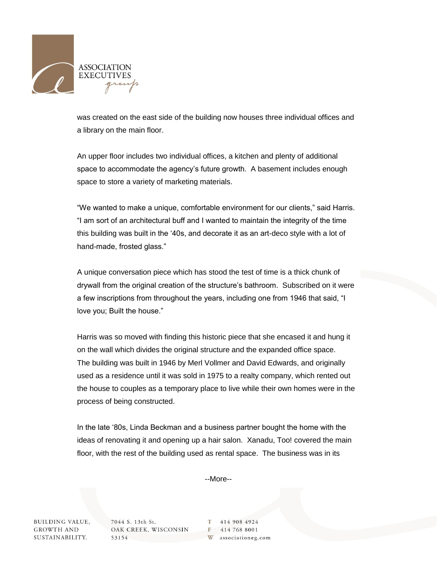

was created on the east side of the building now houses three individual offices and a library on the main floor.

An upper floor includes two individual offices, a kitchen and plenty of additional space to accommodate the agency's future growth. A basement includes enough space to store a variety of marketing materials.

"We wanted to make a unique, comfortable environment for our clients," said Harris. "I am sort of an architectural buff and I wanted to maintain the integrity of the time this building was built in the '40s, and decorate it as an art-deco style with a lot of hand-made, frosted glass."

A unique conversation piece which has stood the test of time is a thick chunk of drywall from the original creation of the structure's bathroom. Subscribed on it were a few inscriptions from throughout the years, including one from 1946 that said, "I love you; Built the house."

Harris was so moved with finding this historic piece that she encased it and hung it on the wall which divides the original structure and the expanded office space. The building was built in 1946 by Merl Vollmer and David Edwards, and originally used as a residence until it was sold in 1975 to a realty company, which rented out the house to couples as a temporary place to live while their own homes were in the process of being constructed.

In the late '80s, Linda Beckman and a business partner bought the home with the ideas of renovating it and opening up a hair salon. Xanadu, Too! covered the main floor, with the rest of the building used as rental space. The business was in its

--More--

**BUILDING VALUE, GROWTH AND** SUSTAINABILITY.

7044 S. 13th St. OAK CREEK, WISCONSIN 53154

414 908 4924 T F 414 768 8001 associationeg.com W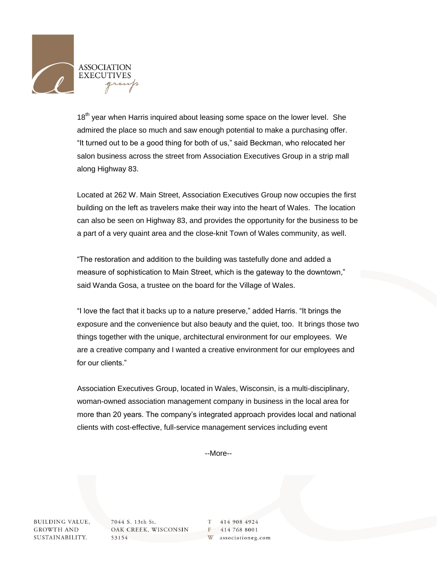

18<sup>th</sup> year when Harris inquired about leasing some space on the lower level. She admired the place so much and saw enough potential to make a purchasing offer. "It turned out to be a good thing for both of us," said Beckman, who relocated her salon business across the street from Association Executives Group in a strip mall along Highway 83.

Located at 262 W. Main Street, Association Executives Group now occupies the first building on the left as travelers make their way into the heart of Wales. The location can also be seen on Highway 83, and provides the opportunity for the business to be a part of a very quaint area and the close-knit Town of Wales community, as well.

"The restoration and addition to the building was tastefully done and added a measure of sophistication to Main Street, which is the gateway to the downtown," said Wanda Gosa, a trustee on the board for the Village of Wales.

"I love the fact that it backs up to a nature preserve," added Harris. "It brings the exposure and the convenience but also beauty and the quiet, too. It brings those two things together with the unique, architectural environment for our employees. We are a creative company and I wanted a creative environment for our employees and for our clients."

Association Executives Group, located in Wales, Wisconsin, is a multi-disciplinary, woman-owned association management company in business in the local area for more than 20 years. The company's integrated approach provides local and national clients with cost-effective, full-service management services including event

--More--

**BUILDING VALUE, GROWTH AND** SUSTAINABILITY.

7044 S. 13th St. OAK CREEK, WISCONSIN 53154

414 908 4924 T F 414 768 8001 associationeg.com W